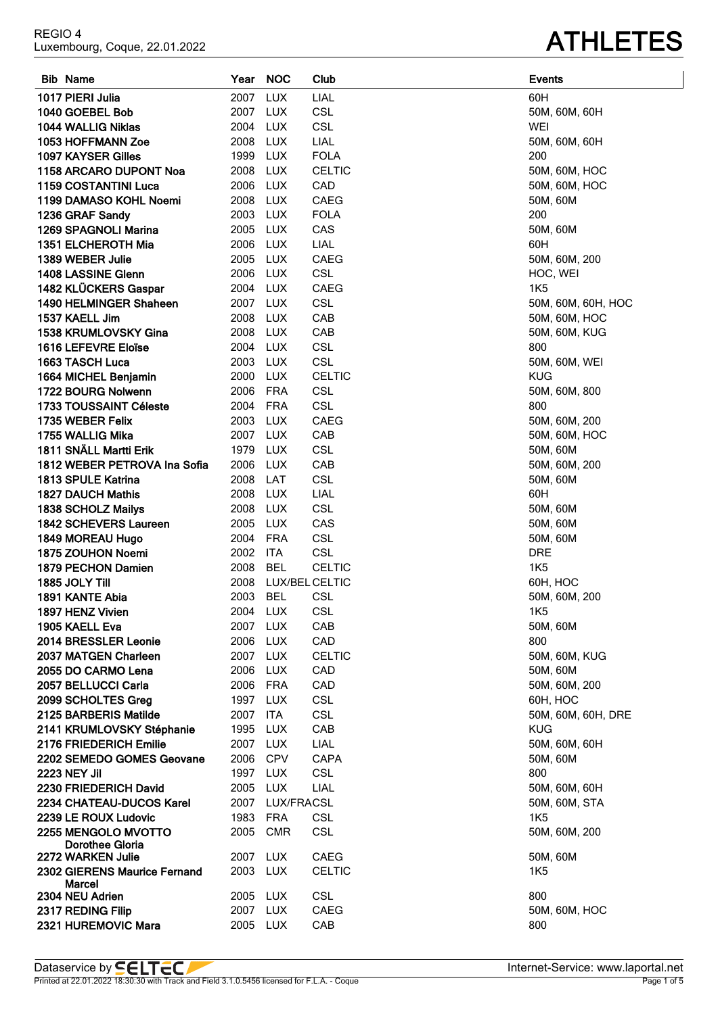| <b>Bib Name</b>                 |          | <b>NOC</b>      |               | <b>Events</b>      |
|---------------------------------|----------|-----------------|---------------|--------------------|
|                                 | Year     |                 | Club          |                    |
| 1017 PIERI Julia                | 2007     | <b>LUX</b>      | LIAL          | 60H                |
| 1040 GOEBEL Bob                 | 2007 LUX |                 | <b>CSL</b>    | 50M, 60M, 60H      |
| 1044 WALLIG Niklas              | 2004     | <b>LUX</b>      | CSL           | WEI                |
| 1053 HOFFMANN Zoe               | 2008     | <b>LUX</b>      | LIAL          | 50M, 60M, 60H      |
| 1097 KAYSER Gilles              | 1999     | <b>LUX</b>      | <b>FOLA</b>   | 200                |
| 1158 ARCARO DUPONT Noa          | 2008     | LUX             | <b>CELTIC</b> | 50M, 60M, HOC      |
| <b>1159 COSTANTINI Luca</b>     | 2006 LUX |                 | CAD           | 50M, 60M, HOC      |
| 1199 DAMASO KOHL Noemi          | 2008 LUX |                 | <b>CAEG</b>   | 50M, 60M           |
| 1236 GRAF Sandy                 | 2003     | <b>LUX</b>      | <b>FOLA</b>   | 200                |
| 1269 SPAGNOLI Marina            | 2005     | <b>LUX</b>      | CAS           | 50M, 60M           |
| 1351 ELCHEROTH Mia              | 2006     | <b>LUX</b>      | LIAL          | 60H                |
|                                 |          |                 |               |                    |
| 1389 WEBER Julie                | 2005     | LUX             | <b>CAEG</b>   | 50M, 60M, 200      |
| 1408 LASSINE Glenn              | 2006     | <b>LUX</b>      | <b>CSL</b>    | HOC, WEI           |
| 1482 KLÜCKERS Gaspar            | 2004     | <b>LUX</b>      | CAEG          | <b>1K5</b>         |
| 1490 HELMINGER Shaheen          | 2007 LUX |                 | <b>CSL</b>    | 50M, 60M, 60H, HOC |
| 1537 KAELL Jim                  | 2008     | LUX             | CAB           | 50M, 60M, HOC      |
| 1538 KRUMLOVSKY Gina            | 2008     | LUX             | CAB           | 50M, 60M, KUG      |
| 1616 LEFEVRE Eloïse             | 2004     | LUX             | CSL           | 800                |
| 1663 TASCH Luca                 | 2003     | LUX             | CSL           | 50M, 60M, WEI      |
| 1664 MICHEL Benjamin            | 2000     | <b>LUX</b>      | <b>CELTIC</b> | <b>KUG</b>         |
| 1722 BOURG Nolwenn              | 2006     | <b>FRA</b>      | <b>CSL</b>    | 50M, 60M, 800      |
| <b>1733 TOUSSAINT Céleste</b>   | 2004     | <b>FRA</b>      | <b>CSL</b>    | 800                |
| 1735 WEBER Felix                | 2003     | LUX             | <b>CAEG</b>   | 50M, 60M, 200      |
| 1755 WALLIG Mika                | 2007     | <b>LUX</b>      | CAB           | 50M, 60M, HOC      |
| 1811 SNÄLL Martti Erik          | 1979     | LUX             | <b>CSL</b>    | 50M, 60M           |
| 1812 WEBER PETROVA Ina Sofia    | 2006     | <b>LUX</b>      | CAB           | 50M, 60M, 200      |
| 1813 SPULE Katrina              | 2008     | LAT             | CSL           | 50M, 60M           |
| <b>1827 DAUCH Mathis</b>        | 2008     | <b>LUX</b>      | LIAL          | 60H                |
| 1838 SCHOLZ Mailys              | 2008     | <b>LUX</b>      | <b>CSL</b>    | 50M, 60M           |
| <b>1842 SCHEVERS Laureen</b>    | 2005     | <b>LUX</b>      | CAS           | 50M, 60M           |
| 1849 MOREAU Hugo                | 2004     | <b>FRA</b>      | CSL           | 50M, 60M           |
| 1875 ZOUHON Noemi               | 2002 ITA |                 | <b>CSL</b>    | <b>DRE</b>         |
| 1879 PECHON Damien              | 2008     | <b>BEL</b>      | <b>CELTIC</b> | <b>1K5</b>         |
|                                 | 2008     |                 |               |                    |
| 1885 JOLY Till                  |          | LUX/BEL CELTIC  |               | 60H, HOC           |
| 1891 KANTE Abia                 | 2003 BEL |                 | <b>CSL</b>    | 50M, 60M, 200      |
| 1897 HENZ Vivien                | 2004 LUX |                 | <b>CSL</b>    | <b>1K5</b>         |
| 1905 KAELL Eva                  | 2007 LUX |                 | CAB           | 50M, 60M           |
| 2014 BRESSLER Leonie            | 2006 LUX |                 | CAD           | 800                |
| 2037 MATGEN Charleen            | 2007 LUX |                 | <b>CELTIC</b> | 50M, 60M, KUG      |
| 2055 DO CARMO Lena              | 2006     | LUX             | CAD           | 50M, 60M           |
| 2057 BELLUCCI Carla             | 2006 FRA |                 | CAD           | 50M, 60M, 200      |
| 2099 SCHOLTES Greg              | 1997 LUX |                 | <b>CSL</b>    | 60H, HOC           |
| 2125 BARBERIS Matilde           | 2007 ITA |                 | CSL           | 50M, 60M, 60H, DRE |
| 2141 KRUMLOVSKY Stéphanie       | 1995 LUX |                 | CAB           | <b>KUG</b>         |
| 2176 FRIEDERICH Emilie          | 2007 LUX |                 | LIAL          | 50M, 60M, 60H      |
| 2202 SEMEDO GOMES Geovane       | 2006 CPV |                 | CAPA          | 50M, 60M           |
| <b>2223 NEY Jil</b>             | 1997 LUX |                 | <b>CSL</b>    | 800                |
| 2230 FRIEDERICH David           | 2005 LUX |                 | LIAL          | 50M, 60M, 60H      |
| <b>2234 CHATEAU-DUCOS Karel</b> |          | 2007 LUX/FRACSL |               | 50M, 60M, STA      |
| 2239 LE ROUX Ludovic            | 1983 FRA |                 | <b>CSL</b>    | <b>1K5</b>         |
| 2255 MENGOLO MVOTTO             | 2005 CMR |                 | <b>CSL</b>    | 50M, 60M, 200      |
| Dorothee Gloria                 |          |                 |               |                    |
| 2272 WARKEN Julie               | 2007 LUX |                 | CAEG          | 50M, 60M           |
| 2302 GIERENS Maurice Fernand    | 2003 LUX |                 | <b>CELTIC</b> | <b>1K5</b>         |
| Marcel                          |          |                 |               |                    |
| 2304 NEU Adrien                 | 2005 LUX |                 | <b>CSL</b>    | 800                |
| 2317 REDING Filip               | 2007 LUX |                 | <b>CAEG</b>   | 50M, 60M, HOC      |
| 2321 HUREMOVIC Mara             | 2005 LUX |                 | CAB           | 800                |

REGIO 4<br>Luxembourg, Coque, 22.01.2022

Dataservice by **CELTEC** 

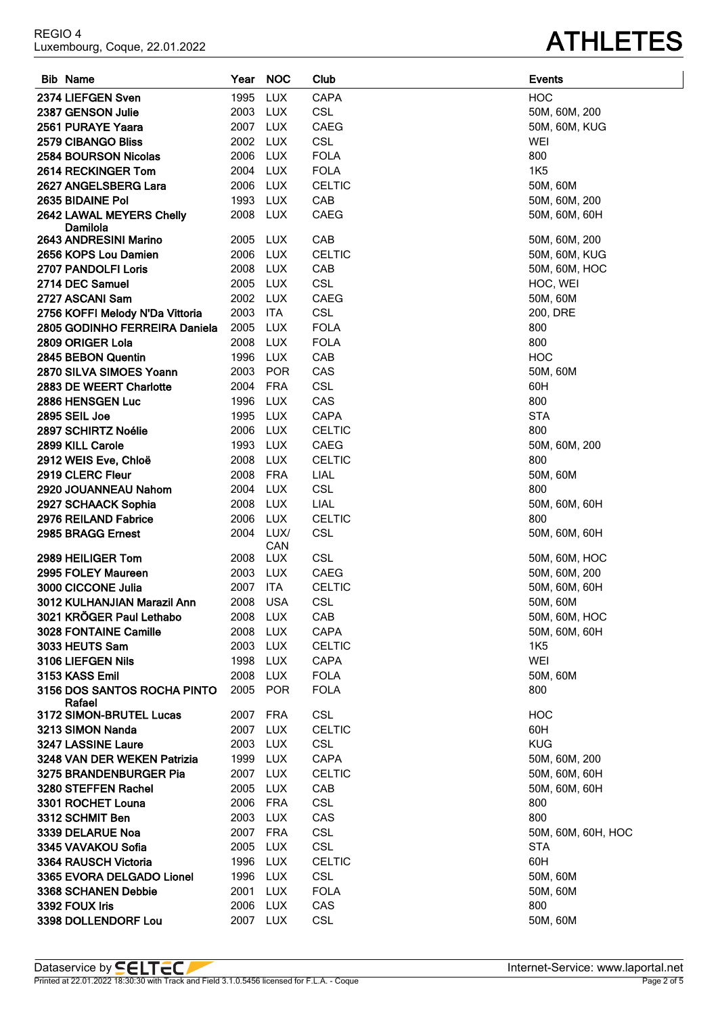| <b>Bib Name</b>                       | Year     | <b>NOC</b>  | Club          | <b>Events</b>      |
|---------------------------------------|----------|-------------|---------------|--------------------|
| 2374 LIEFGEN Sven                     | 1995     | <b>LUX</b>  | <b>CAPA</b>   | <b>HOC</b>         |
| 2387 GENSON Julie                     | 2003     | <b>LUX</b>  | CSL           | 50M, 60M, 200      |
| 2561 PURAYE Yaara                     | 2007     | <b>LUX</b>  | CAEG          | 50M, 60M, KUG      |
| 2579 CIBANGO Bliss                    | 2002     | <b>LUX</b>  | CSL           | WEI                |
| <b>2584 BOURSON Nicolas</b>           | 2006     | <b>LUX</b>  | <b>FOLA</b>   | 800                |
| 2614 RECKINGER Tom                    | 2004     | LUX         | <b>FOLA</b>   | <b>1K5</b>         |
| 2627 ANGELSBERG Lara                  | 2006     | LUX         | <b>CELTIC</b> | 50M, 60M           |
| 2635 BIDAINE Pol                      | 1993 LUX |             | CAB           | 50M, 60M, 200      |
| 2642 LAWAL MEYERS Chelly<br>Damilola  | 2008 LUX |             | <b>CAEG</b>   | 50M, 60M, 60H      |
| 2643 ANDRESINI Marino                 | 2005     | LUX         | CAB           | 50M, 60M, 200      |
| 2656 KOPS Lou Damien                  | 2006     | <b>LUX</b>  | <b>CELTIC</b> | 50M, 60M, KUG      |
| 2707 PANDOLFI Loris                   | 2008     | <b>LUX</b>  | CAB           | 50M, 60M, HOC      |
| 2714 DEC Samuel                       | 2005     | LUX         | <b>CSL</b>    | HOC, WEI           |
| 2727 ASCANI Sam                       | 2002 LUX |             | <b>CAEG</b>   | 50M, 60M           |
| 2756 KOFFI Melody N'Da Vittoria       | 2003     | ITA         | <b>CSL</b>    | 200, DRE           |
| 2805 GODINHO FERREIRA Daniela         | 2005     | <b>LUX</b>  | <b>FOLA</b>   | 800                |
| 2809 ORIGER Lola                      | 2008     | LUX         | <b>FOLA</b>   | 800                |
| 2845 BEBON Quentin                    | 1996     | <b>LUX</b>  | CAB           | <b>HOC</b>         |
| 2870 SILVA SIMOES Yoann               | 2003     | <b>POR</b>  | CAS           | 50M, 60M           |
| 2883 DE WEERT Charlotte               | 2004     | <b>FRA</b>  | <b>CSL</b>    | 60H                |
| 2886 HENSGEN Luc                      | 1996     | <b>LUX</b>  | CAS           | 800                |
| 2895 SEIL Joe                         | 1995     | <b>LUX</b>  | <b>CAPA</b>   | <b>STA</b>         |
| 2897 SCHIRTZ Noélie                   | 2006     | <b>LUX</b>  | <b>CELTIC</b> | 800                |
| 2899 KILL Carole                      | 1993     | LUX         | <b>CAEG</b>   | 50M, 60M, 200      |
| 2912 WEIS Eve, Chloë                  | 2008     | LUX         | <b>CELTIC</b> | 800                |
| 2919 CLERC Fleur                      | 2008     | <b>FRA</b>  | LIAL          | 50M, 60M           |
| 2920 JOUANNEAU Nahom                  | 2004     | <b>LUX</b>  | <b>CSL</b>    | 800                |
| 2927 SCHAACK Sophia                   | 2008     | LUX         | LIAL          | 50M, 60M, 60H      |
| 2976 REILAND Fabrice                  | 2006     | LUX         | <b>CELTIC</b> | 800                |
| 2985 BRAGG Ernest                     | 2004     | LUX/<br>CAN | <b>CSL</b>    | 50M, 60M, 60H      |
| 2989 HEILIGER Tom                     | 2008     | LUX         | <b>CSL</b>    | 50M, 60M, HOC      |
| 2995 FOLEY Maureen                    | 2003 LUX |             | <b>CAEG</b>   | 50M, 60M, 200      |
| 3000 CICCONE Julia                    | 2007     | <b>ITA</b>  | <b>CELTIC</b> | 50M, 60M, 60H      |
| 3012 KULHANJIAN Marazil Ann           | 2008     | <b>USA</b>  | <b>CSL</b>    | 50M, 60M           |
| 3021 KRÖGER Paul Lethabo              | 2008 LUX |             | CAB           | 50M, 60M, HOC      |
| <b>3028 FONTAINE Camille</b>          | 2008 LUX |             | <b>CAPA</b>   | 50M, 60M, 60H      |
| 3033 HEUTS Sam                        | 2003     | LUX         | <b>CELTIC</b> | 1K5                |
| 3106 LIEFGEN Nils                     | 1998 LUX |             | CAPA          | WEI                |
| 3153 KASS Emil                        | 2008 LUX |             | <b>FOLA</b>   | 50M, 60M           |
| 3156 DOS SANTOS ROCHA PINTO<br>Rafael | 2005     | POR         | <b>FOLA</b>   | 800                |
| 3172 SIMON-BRUTEL Lucas               | 2007 FRA |             | <b>CSL</b>    | <b>HOC</b>         |
| 3213 SIMON Nanda                      | 2007 LUX |             | <b>CELTIC</b> | 60H                |
| 3247 LASSINE Laure                    | 2003 LUX |             | <b>CSL</b>    | <b>KUG</b>         |
| 3248 VAN DER WEKEN Patrizia           | 1999 LUX |             | CAPA          | 50M, 60M, 200      |
| 3275 BRANDENBURGER Pia                | 2007 LUX |             | <b>CELTIC</b> | 50M, 60M, 60H      |
| 3280 STEFFEN Rachel                   | 2005     | LUX         | CAB           | 50M, 60M, 60H      |
| 3301 ROCHET Louna                     | 2006     | FRA         | <b>CSL</b>    | 800<br>800         |
| 3312 SCHMIT Ben                       | 2003     | LUX         | CAS           |                    |
| 3339 DELARUE Noa                      | 2007 FRA |             | <b>CSL</b>    | 50M, 60M, 60H, HOC |
| 3345 VAVAKOU Sofia                    | 2005     | LUX         | <b>CSL</b>    | <b>STA</b>         |
| 3364 RAUSCH Victoria                  | 1996     | LUX         | <b>CELTIC</b> | 60H                |
| 3365 EVORA DELGADO Lionel             | 1996     | LUX         | <b>CSL</b>    | 50M, 60M           |
| 3368 SCHANEN Debbie                   | 2001     | <b>LUX</b>  | <b>FOLA</b>   | 50M, 60M           |
| 3392 FOUX Iris                        | 2006 LUX |             | CAS           | 800                |
| 3398 DOLLENDORF Lou                   | 2007 LUX |             | <b>CSL</b>    | 50M, 60M           |

## REGIO 4<br>Luxembourg, Coque, 22.01.2022

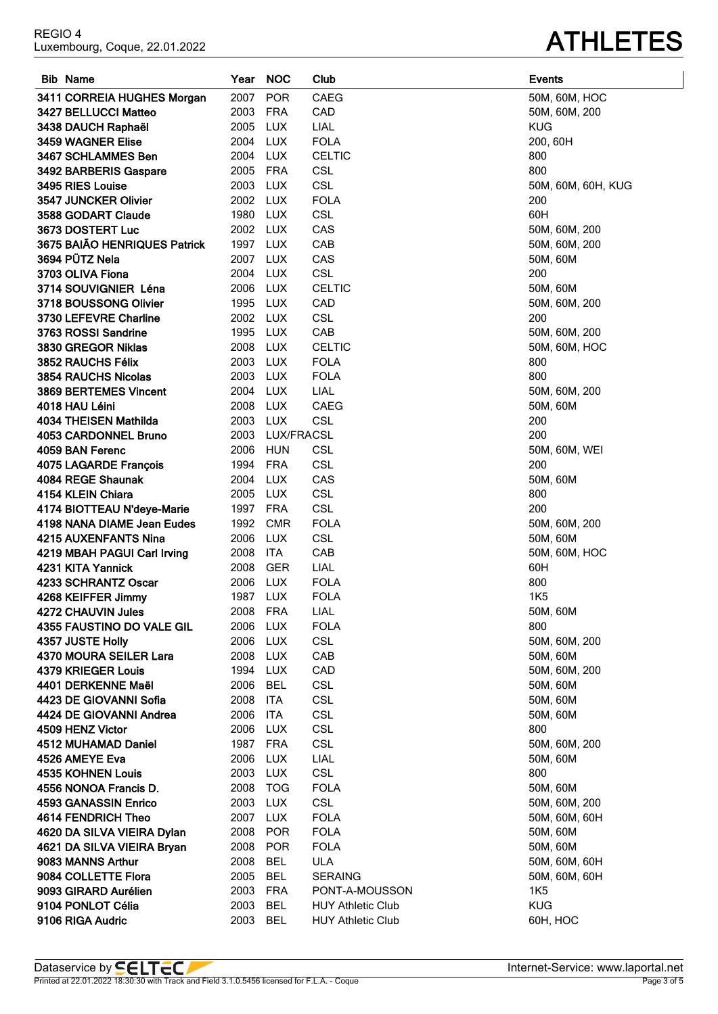| Dataservice by <b>SELTEC</b> | Internet-Service: www.laportal.net |
|------------------------------|------------------------------------|

| portal.ne |  |
|-----------|--|
| Page 3 of |  |

| <b>Bib Name</b>               | Year     | <b>NOC</b>        | Club                     | <b>Events</b>      |
|-------------------------------|----------|-------------------|--------------------------|--------------------|
| 3411 CORREIA HUGHES Morgan    | 2007     | POR               | CAEG                     | 50M, 60M, HOC      |
| 3427 BELLUCCI Matteo          | 2003     | <b>FRA</b>        | CAD                      | 50M, 60M, 200      |
| 3438 DAUCH Raphaël            | 2005     | <b>LUX</b>        | LIAL                     | <b>KUG</b>         |
| 3459 WAGNER Elise             | 2004     | <b>LUX</b>        | <b>FOLA</b>              | 200, 60H           |
| 3467 SCHLAMMES Ben            | 2004     | <b>LUX</b>        | <b>CELTIC</b>            | 800                |
| 3492 BARBERIS Gaspare         | 2005     | <b>FRA</b>        | <b>CSL</b>               | 800                |
| 3495 RIES Louise              | 2003     | <b>LUX</b>        | <b>CSL</b>               | 50M, 60M, 60H, KUG |
| 3547 JUNCKER Olivier          | 2002 LUX |                   | <b>FOLA</b>              | 200                |
| 3588 GODART Claude            | 1980     | LUX               | <b>CSL</b>               | 60H                |
| 3673 DOSTERT Luc              | 2002 LUX |                   | CAS                      | 50M, 60M, 200      |
| 3675 BAIÃO HENRIQUES Patrick  | 1997     | <b>LUX</b>        | CAB                      | 50M, 60M, 200      |
| 3694 PÜTZ Nela                | 2007     | <b>LUX</b>        | CAS                      | 50M, 60M           |
| 3703 OLIVA Fiona              | 2004     | <b>LUX</b>        | <b>CSL</b>               | 200                |
| 3714 SOUVIGNIER Léna          | 2006     | <b>LUX</b>        | <b>CELTIC</b>            | 50M, 60M           |
| 3718 BOUSSONG Olivier         | 1995     | <b>LUX</b>        | CAD                      | 50M, 60M, 200      |
| 3730 LEFEVRE Charline         | 2002     | <b>LUX</b>        | <b>CSL</b>               | 200                |
| 3763 ROSSI Sandrine           | 1995     | <b>LUX</b>        | CAB                      | 50M, 60M, 200      |
| 3830 GREGOR Niklas            | 2008     | <b>LUX</b>        | <b>CELTIC</b>            | 50M, 60M, HOC      |
| 3852 RAUCHS Félix             | 2003     | <b>LUX</b>        | <b>FOLA</b>              | 800                |
| <b>3854 RAUCHS Nicolas</b>    | 2003     | LUX               | <b>FOLA</b>              | 800                |
| 3869 BERTEMES Vincent         | 2004     | <b>LUX</b>        | LIAL                     | 50M, 60M, 200      |
| 4018 HAU Léini                | 2008     | <b>LUX</b>        | CAEG                     | 50M, 60M           |
| 4034 THEISEN Mathilda         | 2003     | LUX               | <b>CSL</b>               | 200                |
| 4053 CARDONNEL Bruno          | 2003     | <b>LUX/FRACSL</b> |                          | 200                |
| 4059 BAN Ferenc               | 2006     | <b>HUN</b>        | <b>CSL</b>               | 50M, 60M, WEI      |
| 4075 LAGARDE François         | 1994     | <b>FRA</b>        | <b>CSL</b>               | 200                |
| 4084 REGE Shaunak             | 2004     | <b>LUX</b>        | CAS                      | 50M, 60M           |
| 4154 KLEIN Chiara             | 2005     | LUX               | <b>CSL</b>               | 800                |
| 4174 BIOTTEAU N'deye-Marie    | 1997     | <b>FRA</b>        | <b>CSL</b>               | 200                |
| 4198 NANA DIAME Jean Eudes    | 1992     | <b>CMR</b>        | <b>FOLA</b>              | 50M, 60M, 200      |
| <b>4215 AUXENFANTS Nina</b>   | 2006     | <b>LUX</b>        | <b>CSL</b>               | 50M, 60M           |
| 4219 MBAH PAGUI Carl Irving   | 2008     | ITA               | CAB                      | 50M, 60M, HOC      |
| 4231 KITA Yannick             | 2008     | <b>GER</b>        | LIAL                     | 60H                |
| 4233 SCHRANTZ Oscar           | 2006     | <b>LUX</b>        | <b>FOLA</b>              | 800                |
| 4268 KEIFFER Jimmy            | 1987     | <b>LUX</b>        | <b>FOLA</b>              | <b>1K5</b>         |
| 4272 CHAUVIN Jules            | 2008 FRA |                   | LIAL                     | 50M, 60M           |
| 4355 FAUSTINO DO VALE GIL     | 2006 LUX |                   | <b>FOLA</b>              | 800                |
| 4357 JUSTE Holly              | 2006     | <b>LUX</b>        | <b>CSL</b>               | 50M, 60M, 200      |
| <b>4370 MOURA SEILER Lara</b> | 2008     | LUX               | CAB                      | 50M, 60M           |
| 4379 KRIEGER Louis            | 1994     | LUX               | CAD                      | 50M, 60M, 200      |
| 4401 DERKENNE Maël            | 2006     | <b>BEL</b>        | <b>CSL</b>               | 50M, 60M           |
| 4423 DE GIOVANNI Sofia        | 2008     | <b>ITA</b>        | <b>CSL</b>               | 50M, 60M           |
| 4424 DE GIOVANNI Andrea       | 2006     | <b>ITA</b>        | <b>CSL</b>               | 50M, 60M           |
| 4509 HENZ Victor              | 2006     | LUX               | <b>CSL</b>               | 800                |
| 4512 MUHAMAD Daniel           | 1987     | FRA               | <b>CSL</b>               | 50M, 60M, 200      |
| 4526 AMEYE Eva                | 2006     | LUX               | LIAL                     | 50M, 60M           |
| <b>4535 KOHNEN Louis</b>      | 2003     | <b>LUX</b>        | <b>CSL</b>               | 800                |
| 4556 NONOA Francis D.         | 2008     | <b>TOG</b>        | <b>FOLA</b>              | 50M, 60M           |
| 4593 GANASSIN Enrico          | 2003     | <b>LUX</b>        | <b>CSL</b>               | 50M, 60M, 200      |
| 4614 FENDRICH Theo            | 2007 LUX |                   | <b>FOLA</b>              | 50M, 60M, 60H      |
| 4620 DA SILVA VIEIRA Dylan    | 2008     | POR               | <b>FOLA</b>              | 50M, 60M           |
| 4621 DA SILVA VIEIRA Bryan    | 2008     | POR               | <b>FOLA</b>              | 50M, 60M           |
| 9083 MANNS Arthur             | 2008     | <b>BEL</b>        | <b>ULA</b>               | 50M, 60M, 60H      |
| 9084 COLLETTE Flora           | 2005     | <b>BEL</b>        | <b>SERAING</b>           | 50M, 60M, 60H      |
| 9093 GIRARD Aurélien          | 2003     | <b>FRA</b>        | PONT-A-MOUSSON           | <b>1K5</b>         |
| 9104 PONLOT Célia             | 2003     | <b>BEL</b>        | <b>HUY Athletic Club</b> | <b>KUG</b>         |
| 9106 RIGA Audric              | 2003 BEL |                   | <b>HUY Athletic Club</b> | 60H, HOC           |

## **ATHLETES**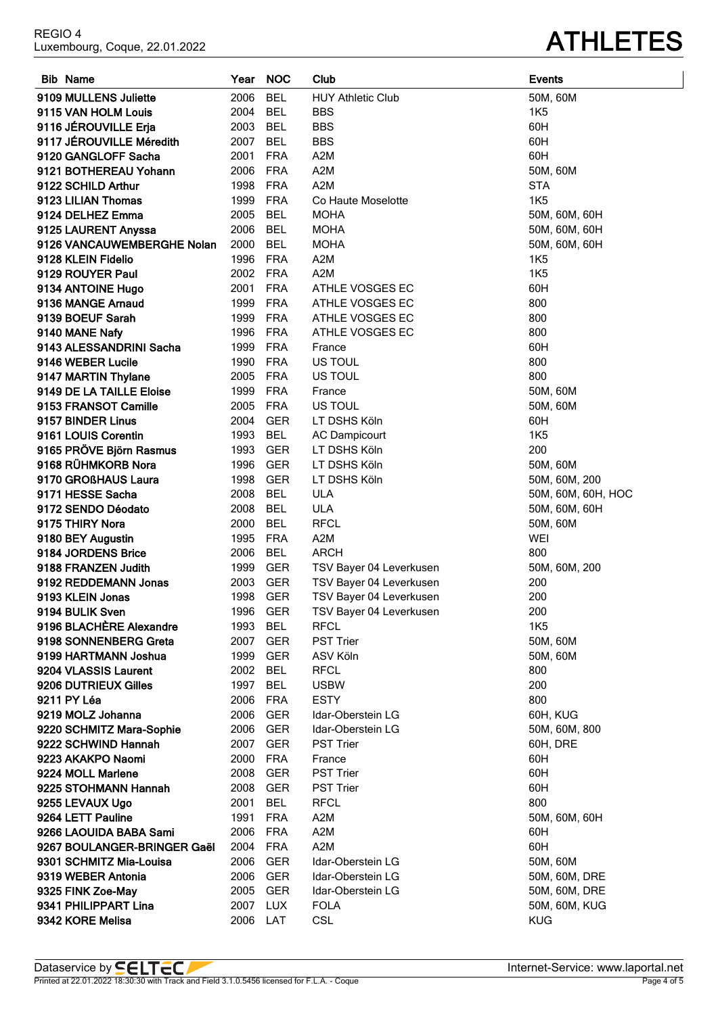**9341 PHILIPPART Lina** 2007 LUX FOLA **9342 KORE Melisa** 2006 LAT CSL

| <b>Bib Name</b>            | Year | <b>NOC</b> | Club                     | <b>Events</b> |
|----------------------------|------|------------|--------------------------|---------------|
| 9109 MULLENS Juliette      | 2006 | <b>BEL</b> | <b>HUY Athletic Club</b> | 50M, 60M      |
| 9115 VAN HOLM Louis        | 2004 | <b>BEL</b> | <b>BBS</b>               | <b>1K5</b>    |
| 9116 JÉROUVILLE Erja       | 2003 | <b>BEL</b> | <b>BBS</b>               | 60H           |
| 9117 JÉROUVILLE Méredith   | 2007 | <b>BEL</b> | <b>BBS</b>               | 60H           |
| 9120 GANGLOFF Sacha        | 2001 | <b>FRA</b> | A2M                      | 60H           |
| 9121 BOTHEREAU Yohann      | 2006 | <b>FRA</b> | A2M                      | 50M, 60M      |
| 9122 SCHILD Arthur         | 1998 | <b>FRA</b> | A2M                      | <b>STA</b>    |
| 9123 LILIAN Thomas         | 1999 | <b>FRA</b> | Co Haute Moselotte       | <b>1K5</b>    |
| 9124 DELHEZ Emma           | 2005 | <b>BEL</b> | <b>MOHA</b>              | 50M, 60M, 60H |
| 9125 LAURENT Anyssa        | 2006 | <b>BEL</b> | <b>MOHA</b>              | 50M, 60M, 60H |
| 9126 VANCAUWEMBERGHE Nolan | 2000 | <b>BEL</b> | <b>MOHA</b>              | 50M, 60M, 60H |
| 9128 KLEIN Fidelio         | 1996 | <b>FRA</b> | A2M                      | <b>1K5</b>    |
| 9129 ROUYER Paul           | 2002 | <b>FRA</b> | A2M                      | <b>1K5</b>    |
| 9134 ANTOINE Hugo          | 2001 | <b>FRA</b> | ATHLE VOSGES EC          | 60H           |
| 9136 MANGE Arnaud          | 1999 | <b>FRA</b> | ATHLE VOSGES EC          | 800           |
| 9139 BOEUF Sarah           | 1999 | <b>FRA</b> | ATHLE VOSGES EC          | 800           |
| 9140 MANE Nafy             | 1996 | <b>FRA</b> | ATHLE VOSGES EC          | 800           |
| 9143 ALESSANDRINI Sacha    | 1999 | <b>FRA</b> | France                   | 60H           |
| 9146 WEBER Lucile          | 1990 | <b>FRA</b> | US TOUL                  | 800           |
| 9147 MARTIN Thylane        | 2005 | <b>FRA</b> | US TOUL                  | 800           |
| 9149 DE LA TAILLE Eloise   | 1999 | <b>FRA</b> | France                   | 50M, 60M      |
| 9153 FRANSOT Camille       | 2005 | <b>FRA</b> | US TOUL                  | 50M, 60M      |
| 9157 BINDER Linus          | 2004 | <b>GER</b> | LT DSHS Köln             | 60H           |

**9161 LOUIS Corentin** 1993 BEL AC Dampicourt 9165 PRÖVE Björn Rasmus<br>
1993 GER LT DSHS Köln **9168 RÜHMKORB Nora** 1996 GER LT DSHS Köln **9170 GROßHAUS Laura** 1998 GER LT DSHS Köln

**9188 FRANZEN Judith** 1999 GER TSV Bayer 04 Leverkusen **9192 REDDEMANN Jonas** 2003 GER TSV Bayer 04 Leverkusen 200 **9193 KLEIN Jonas** 1998 GER TSV Bayer 04 Leverkusen **9194 BULIK Sven** 1996 GER TSV Bayer 04 Leverkusen

**9171 HESSE Sacha** 2008 BEL ULA **9172 SENDO Déodato** 2008 BEL ULA **9175 THIRY Nora** 2000 BEL RFCL **9180 BEY Augustin** 1995 FRA A2M **9184 JORDENS Brice** 2006 BEL ARCH

**9196 BLACHÈRE Alexandre** 1993 BEL RFCL **9198 SONNENBERG Greta** 2007 GER PST Trier **9199 HARTMANN Joshua** 1999 GER ASV Köln **9204 VLASSIS Laurent** 2002 BEL RFCL **9206 DUTRIEUX Gilles** 1997 BEL USBW **9211 PY Léa** 2006 FRA ESTY

**9219 MOLZ Johanna** 2006 GER Idar-Oberstein LG **9220 SCHMITZ Mara-Sophie** 2006 GER Idar-Oberstein LG

**9301 SCHMITZ Mia-Louisa** 2006 GER Idar-Oberstein LG **9319 WEBER Antonia** 2006 GER Idar-Oberstein LG **9325 FINK Zoe-May** 2005 GER Idar-Oberstein LG

**9222 SCHWIND Hannah** 2007 GER PST Trier **9223 AKAKPO Naomi** 2000 FRA France **9224 MOLL Marlene** 2008 GER PST Trier **9225 STOHMANN Hannah** 2008 GER PST Trier **9255 LEVAUX Ugo** 2001 BEL RFCL **9264 LETT Pauline 1991 FRA 62M 9266 LAOUIDA BABA Sami** 2006 FRA A2M **9267 BOULANGER-BRINGER Gaël** 2004 FRA A2M

| 1K5                |
|--------------------|
| 60H                |
| 60H                |
| 60H                |
| 50M, 60M           |
| <b>STA</b>         |
| 1K5                |
| 50M, 60M, 60H      |
| 50M, 60M, 60H      |
| 50M, 60M, 60H      |
| <b>1K5</b>         |
| 1K5                |
| 60H                |
| 800                |
|                    |
| 800                |
| 800                |
| 60H                |
| 800                |
| 800                |
| 50M, 60M           |
| 50M, 60M           |
| 60H                |
| 1K5                |
| 200                |
| 50M, 60M           |
| 50M, 60M, 200      |
| 50M, 60M, 60H, HOC |
| 50M, 60M, 60H      |
| 50M, 60M           |
| WEI                |
| 800                |
| 50M, 60M, 200      |
| 200                |
| 200                |
| 200                |
| 1K <sub>5</sub>    |
| 50M, 60M           |
| 50M, 60M           |
| 800                |
| 200                |
| 800                |
| 60H, KUG           |
| 50M, 60M, 800      |
| 60H, DRE           |
| 60H                |
| 60H                |
| 60H                |
| 800                |
| 50M, 60M, 60H      |
| 60H                |
| 60H                |
| 50M, 60M           |
| 50M, 60M, DRE      |
| 50M, 60M, DRE      |
| 50M, 60M, KUG      |
|                    |
| KUG                |

## Luxembourg, Coque, 22.01.2022 **ATHLETES**